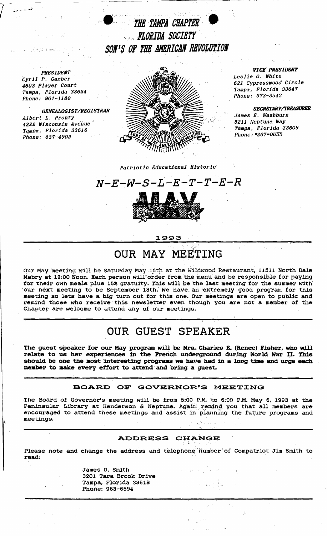



And the

## *Patriotic Educational Historic*



## :1993

## OUR MAY MEETING

,'1'

Our May meeting will be Saturday May 15th at the Wildwood Restaurant, 11511 North Dale Mabry at 12:00 Noon. Each person will order from the menu and be responsible for paying for their own meals plus 15% gratuity. This will be the last meeting for the summer with our next meeting to be September 18th. We have an extremely good program for this meeting so lets have a big turn out for this one. Our meetings are open to public and remind those who receive this newsletter even though you are not a member of the Chapter are welcome to attend any of our meetings.

# OUR GUEST SPEAKER

The guest speaker for our May program will be Mrs. Charles E. (Renee) Fisher, who will relate to us her experiences in the French underground during World War II. This should be one the most interesting programs we have had in a long time and urge each member to make every effort to attend and bring a guest.

### BOARD OF GOVERNOR'S MEETING

 $\mathcal{L}$  , and  $\mathcal{L}$  , and  $\mathcal{L}$  , and  $\mathcal{L}$  , and  $\mathcal{L}$  , and  $\mathcal{L}$  , and  $\mathcal{L}$  , and  $\mathcal{L}$  , and  $\mathcal{L}$  , and  $\mathcal{L}$  , and  $\mathcal{L}$  , and  $\mathcal{L}$  , and  $\mathcal{L}$  , and  $\mathcal{L}$  , and  $\mathcal{L}$  , The Board of Governor's *meeting* will, be from 5:00 P.M" to 6:00 P.M. May 6, 1993 at the Peninsular Library at Henderson & Neptune. Again remind you that all members are encouraged to attend these meetings and assist in planning the future programs and meetings.

### ADDRESS CHANGE

 $\frac{1}{2}$ 

Please note and change the address and telephone" humber' of Compatriot Jim Smith to read:

> James O. Smith 3201 Tara Brook Drive Tampa, Florida 33618 Phone: 963-6594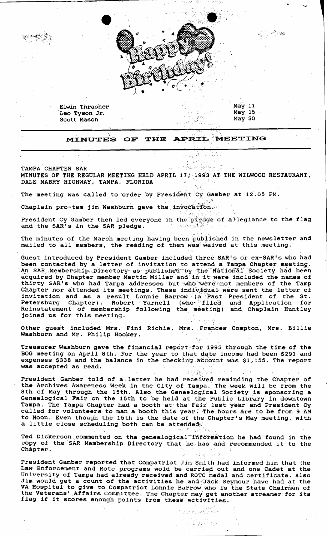Elwin Thrasher Leo Tyson Jr. Scott Mason

May 11 May 15 **May 30** 

**Contact State** 

MEETING **MINUTES OF** THE APRIL

39. 19 (锦绣) 10 TAMPA CHAPTER SAR MINUTES OF THE REGULAR MEETING HELD APRIL 17, 1993 AT THE WILWOOD RESTAURANT, DALE MABRY HIGHWAY, TAMPA, FLORIDA

The meeting was called to order by President Cy Gamber at 12.05 PM.

Chaplain pro-tem jim Washburn gave the invocation.

President Cy Gamber then led everyone in the piedge of allegiance to the flag and the SAR's in the SAR pledge.

The minutes of the March meeting having been published in the newsletter and mailed to all members, the reading of them was waived at this meeting.

Guest introduced by President Gamber included three SAR's or ex-SAR's who had been contacted by a letter of invitation to attend a Tampa Chapter meeting.<br>An SAR Membership Directory as published by the National Society had been acquired by Chapter member Martin Miller and in it were included the names of thirty SAR's who had Tampa addresses but who were not members of the Tamp Chapter nor attended its meetings. These individual were sent the letter of invitation and as a result Lonnie Barrow (a Past President of the St.<br>Petersburg Chapter), Robert Yarnell (who filed and Application for Reinstatement of membership following the meeting) and Chaplain Huntley joined us for this meeting.

Other guest included Mrs. Fini Richie, Mrs. Frances Compton, Mrs. Billie Washburn and Mr. Philip Hooker.

Treasurer Washburn gave the financial report for 1993 through the time of the BOG meeting on April 8th. For the year to that date income had been \$291 and expenses \$338 and the balance in the checking account was \$1,155. The report was accepted as read.

化三氯酸二氢

a ka wiliyek

2005年10月

President Gamber told of a letter he had received reminding the Chapter of the Archives Awareness Week in the City of Tampa. The week will be from the 8th of May through the 15th. Also the Genealogical Society is sponsoring a Genealogical Fair on the 15th to be held at the Public Library in downtown Tampa. The Tampa Chapter had a booth at the Fair last year and President Cy called for volunteers to man a booth this year. The hours are to be from 9 AM to Noon. Even though the 15th is the date of the Chapter's May meeting, with a little close scheduling both can be attended.

Ted Dickerson commented on the genealogical "information he had found in the copy of the SAR Membership Directory that he has and recommended it to the Chapter. √lie

President Gamber reported that Compatriot Jim Smith had informed him that the Law Enforcement and Rotc programs wold be carried out and one Cadet at the University of Tampa had already received and ROTC medal and certificate. Also Jim would get a count of the activities he and Jack Seymour have had at the VA Hospital to give to Compatriot Lonnie Barrow who is the State Chairman of the Veterans' Affairs Committee. The Chapter may get another streamer for its flag if it scores enough points from these activities.